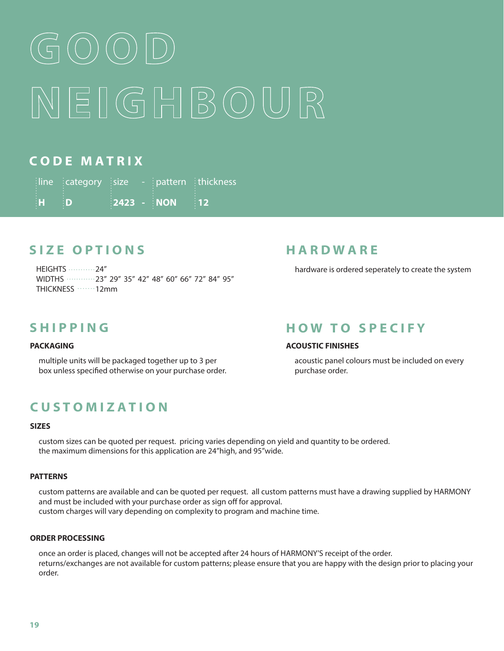# NEIGHBOUR

#### **C O D E M A T R I X**

|                           | $\frac{1}{2}$ line $\frac{1}{2}$ category $\frac{1}{2}$ size - $\frac{1}{2}$ pattern $\frac{1}{2}$ thickness |                                                      |                   |
|---------------------------|--------------------------------------------------------------------------------------------------------------|------------------------------------------------------|-------------------|
| $\mathbf{H} = \mathbf{D}$ |                                                                                                              | $\frac{1}{2}$ 2423 - $\frac{1}{2}$ NON $\frac{1}{2}$ | $\blacksquare$ 12 |

### **S I Z E O P T I O N S**

**HEIGHTS …………24"** WIDTHS ............23" 29" 35" 42" 48" 60" 66" 72" 84" 95" THICKNESS ·······12mm

#### **S H I P P I N G**

#### **PACKAGING**

multiple units will be packaged together up to 3 per box unless specified otherwise on your purchase order.

#### **C U S T O M I Z A T I O N**

#### **SIZES**

custom sizes can be quoted per request. pricing varies depending on yield and quantity to be ordered. the maximum dimensions for this application are 24"high, and 95"wide.

#### **PATTERNS**

custom patterns are available and can be quoted per request. all custom patterns must have a drawing supplied by HARMONY and must be included with your purchase order as sign off for approval.

custom charges will vary depending on complexity to program and machine time.

#### **ORDER PROCESSING**

once an order is placed, changes will not be accepted after 24 hours of HARMONY'S receipt of the order. returns/exchanges are not available for custom patterns; please ensure that you are happy with the design prior to placing your order.

#### **H A R D W A R E**

hardware is ordered seperately to create the system

#### **HOW TO SPECIFY**

#### **ACOUSTIC FINISHES**

acoustic panel colours must be included on every purchase order.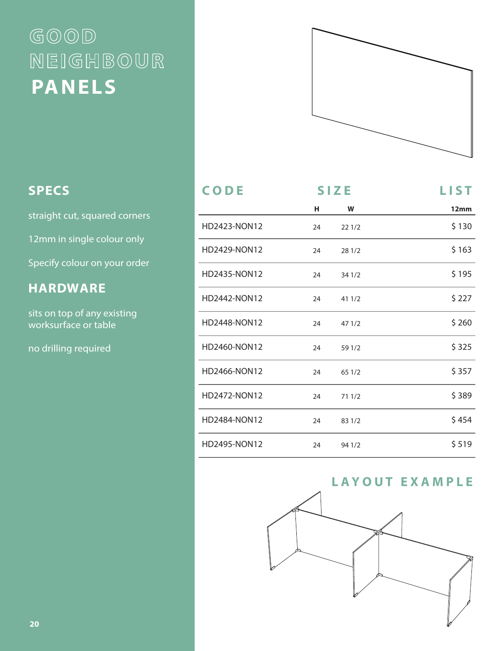## $GOOD$ NEIGHBOUR **PANELS**



#### **S P E C S**

straight cut, squared corners

12mm in single colour only

Specify colour on your order

### **H A R D W A R E**

sits on top of any existing worksurface or table

no drilling required

| CODE                | <b>SIZE</b> |        | <b>LIST</b> |
|---------------------|-------------|--------|-------------|
|                     | н           | W      | 12mm        |
| HD2423-NON12        | 24          | 221/2  | \$130       |
| HD2429-NON12        | 24          | 28 1/2 | \$163       |
| HD2435-NON12        | 24          | 341/2  | \$195       |
| HD2442-NON12        | 24          | 41 1/2 | \$ 227      |
| <b>HD2448-NON12</b> | 24          | 471/2  | \$260       |
| HD2460-NON12        | 24          | 59 1/2 | \$325       |
| HD2466-NON12        | 24          | 65 1/2 | \$357       |
| HD2472-NON12        | 24          | 71 1/2 | \$389       |
| <b>HD2484-NON12</b> | 24          | 83 1/2 | \$454       |
| HD2495-NON12        | 24          | 94 1/2 | \$519       |



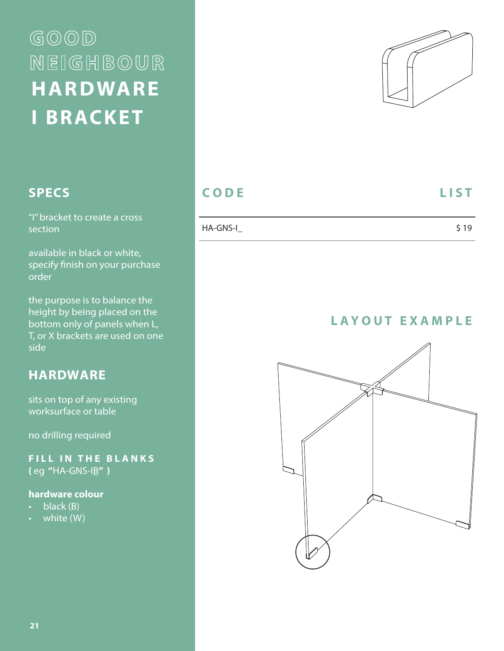# $GOOD$ NEIGHBOUR **HARDWARE I BRACKET**

## **S P E C S**

"I" bracket to create a cross section

available in black or white, specify finish on your purchase order

the purpose is to balance the height by being placed on the bottom only of panels when L, T, or X brackets are used on one side

#### **H A R D W A R E**

sits on top of any existing worksurface or table

no drilling required

**FILL IN THE BLANKS (** eg **"**HA-GNS-IB**" )**

#### **hardware colour**

- $\cdot$  black (B)
- white (W)



## **CODE** LIST

| HA-GNS-I | \$19 |
|----------|------|
|          |      |

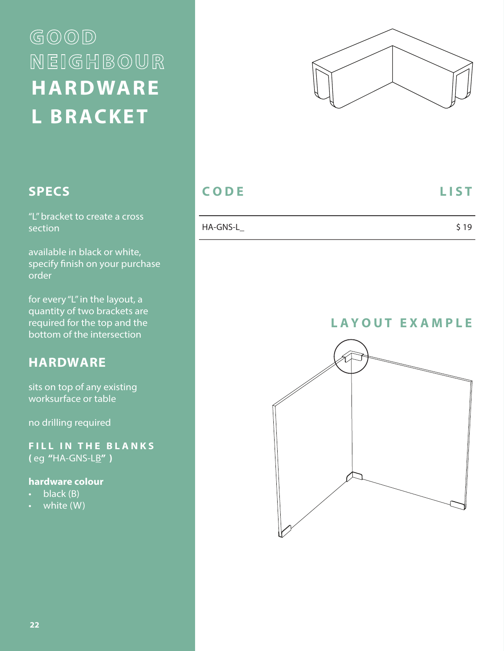# $GOOD$ NEIGHBOUR **HARDWARE L BRACKET**



#### **S P E C S**

"L" bracket to create a cross section

available in black or white, specify finish on your purchase order

for every "L" in the layout, a quantity of two brackets are required for the top and the bottom of the intersection

#### **H A R D W A R E**

sits on top of any existing worksurface or table

no drilling required

**FILL IN THE BLANKS (** eg **"**HA-GNS-LB**" )**

#### **hardware colour**

- black (B)
- white (W)

#### **CODE** LIST

| HA-GNS-L | \$19 |
|----------|------|

![](_page_3_Picture_16.jpeg)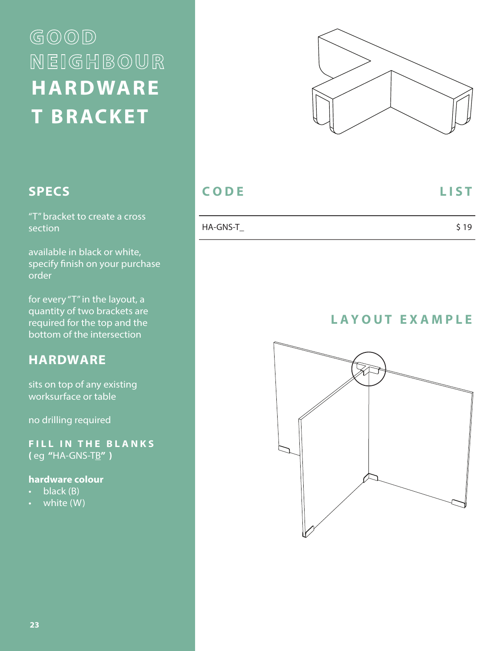# $GOOD$ NEIGHBOUR **HARDWARE T BRACKET**

![](_page_4_Picture_1.jpeg)

#### **S P E C S**

"T" bracket to create a cross section

available in black or white, specify finish on your purchase order

for every "T" in the layout, a quantity of two brackets are required for the top and the bottom of the intersection

#### **H A R D W A R E**

sits on top of any existing worksurface or table

no drilling required

**FILL IN THE BLANKS (** eg **"**HA-GNS-TB**" )**

#### **hardware colour**

- $\cdot$  black (B)
- white (W)

#### **CODE** LIST

| HA-GNS-T | \$19 |
|----------|------|
|          |      |

![](_page_4_Figure_18.jpeg)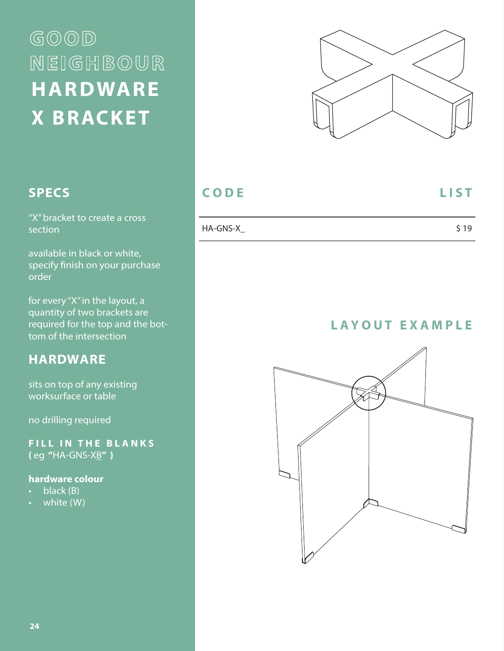# $GOOD$ NEIGHBOUR **HARDWARE X BRACKET**

![](_page_5_Picture_1.jpeg)

#### **S P E C S**

"X" bracket to create a cross section

available in black or white, specify finish on your purchase order

for every "X" in the layout, a quantity of two brackets are required for the top and the bottom of the intersection

#### **H A R D W A R E**

sits on top of any existing worksurface or table

no drilling required

**FILL IN THE BLANKS (** eg **"**HA-GNS-XB**" )**

#### **hardware colour**

- $\cdot$  black (B)
- white (W)

#### **CODE** LIST

| HA-GNS-X | \$19 |
|----------|------|
|          |      |

![](_page_5_Picture_18.jpeg)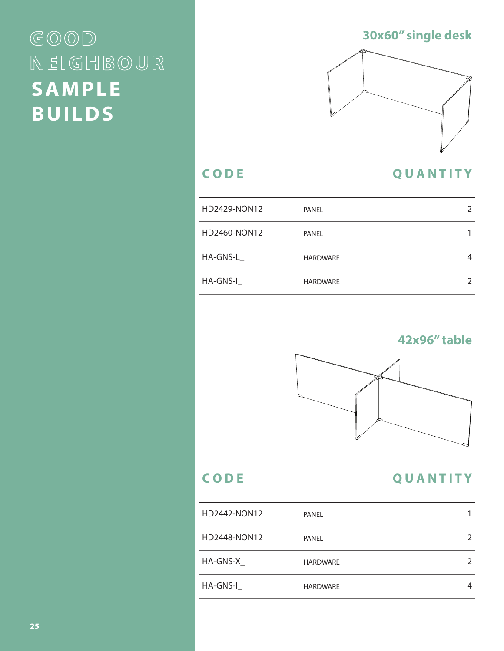## $GOOD$ NEIGHBOUR **SAMPLE BUILDS**

#### **30x60" single desk**

![](_page_6_Figure_2.jpeg)

#### **C O D E Q U A N T I T Y**

## HD2429-NON12 PANEL 2 HD2460-NON12 PANEL 1 HA-GNS-L\_ HARDWARE 4 HA-GNS-I\_ **HARDWARE** 2

### **42x96" table**

![](_page_6_Picture_6.jpeg)

#### **C O D E Q U A N T I T Y**

| HD2442-NON12 | PANEL           |  |
|--------------|-----------------|--|
| HD2448-NON12 | PANEL           |  |
| HA-GNS-X     | <b>HARDWARE</b> |  |
| HA-GNS-I     | <b>HARDWARE</b> |  |